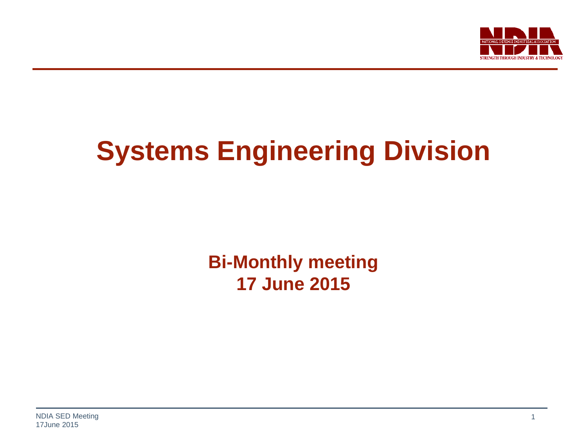

# **Systems Engineering Division**

**Bi-Monthly meeting 17 June 2015**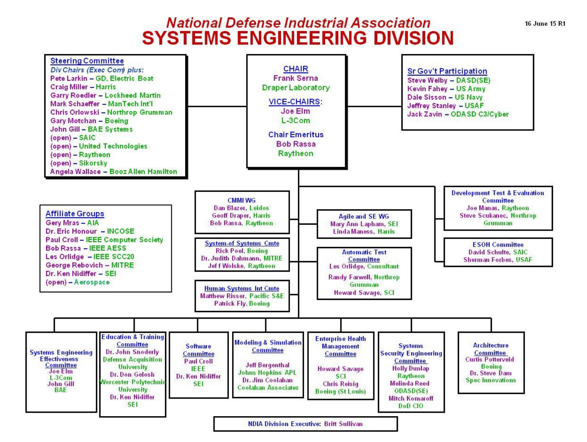#### **National Defense Industrial Association SYSTEMS ENGINEERING DIVISION**

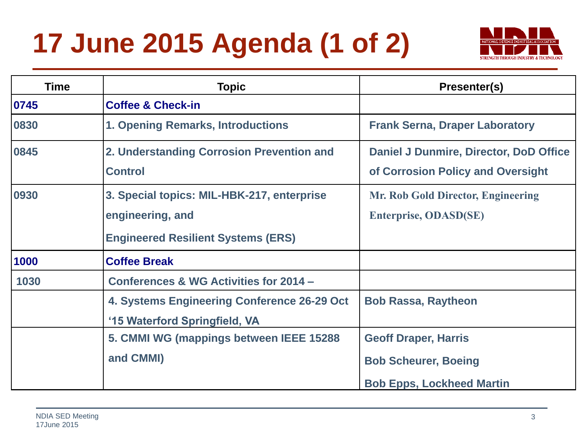# **17 June 2015 Agenda (1 of 2)**



| Time | <b>Topic</b>                                                                                                | Presenter(s)                                                                |
|------|-------------------------------------------------------------------------------------------------------------|-----------------------------------------------------------------------------|
| 0745 | <b>Coffee &amp; Check-in</b>                                                                                |                                                                             |
| 0830 | 1. Opening Remarks, Introductions                                                                           | <b>Frank Serna, Draper Laboratory</b>                                       |
| 0845 | 2. Understanding Corrosion Prevention and<br><b>Control</b>                                                 | Daniel J Dunmire, Director, DoD Office<br>of Corrosion Policy and Oversight |
| 0930 | 3. Special topics: MIL-HBK-217, enterprise<br>engineering, and<br><b>Engineered Resilient Systems (ERS)</b> | Mr. Rob Gold Director, Engineering<br><b>Enterprise, ODASD(SE)</b>          |
| 1000 | <b>Coffee Break</b>                                                                                         |                                                                             |
| 1030 | Conferences & WG Activities for 2014 -                                                                      |                                                                             |
|      | 4. Systems Engineering Conference 26-29 Oct<br>'15 Waterford Springfield, VA                                | <b>Bob Rassa, Raytheon</b>                                                  |
|      | 5. CMMI WG (mappings between IEEE 15288                                                                     | <b>Geoff Draper, Harris</b>                                                 |
|      | and CMMI)                                                                                                   | <b>Bob Scheurer, Boeing</b>                                                 |
|      |                                                                                                             | <b>Bob Epps, Lockheed Martin</b>                                            |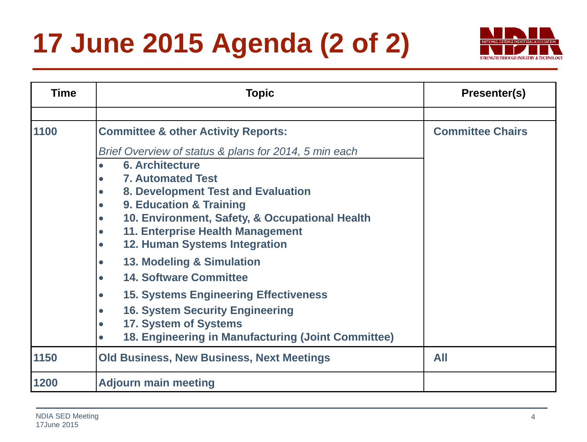# **17 June 2015 Agenda (2 of 2)**



| <b>Time</b> | <b>Topic</b>                                                                                                                                                                                                                                                                                                                                                                                                                                                               | Presenter(s)            |
|-------------|----------------------------------------------------------------------------------------------------------------------------------------------------------------------------------------------------------------------------------------------------------------------------------------------------------------------------------------------------------------------------------------------------------------------------------------------------------------------------|-------------------------|
|             |                                                                                                                                                                                                                                                                                                                                                                                                                                                                            |                         |
| 1100        | <b>Committee &amp; other Activity Reports:</b><br>Brief Overview of status & plans for 2014, 5 min each<br><b>6. Architecture</b><br><b>7. Automated Test</b><br>8. Development Test and Evaluation<br>9. Education & Training<br>10. Environment, Safety, & Occupational Health<br>11. Enterprise Health Management<br><b>12. Human Systems Integration</b><br>13. Modeling & Simulation<br><b>14. Software Committee</b><br><b>15. Systems Engineering Effectiveness</b> | <b>Committee Chairs</b> |
|             | <b>16. System Security Engineering</b><br>17. System of Systems<br>18. Engineering in Manufacturing (Joint Committee)<br>$\bullet$                                                                                                                                                                                                                                                                                                                                         |                         |
| 1150        | <b>Old Business, New Business, Next Meetings</b>                                                                                                                                                                                                                                                                                                                                                                                                                           | All                     |
| 1200        | <b>Adjourn main meeting</b>                                                                                                                                                                                                                                                                                                                                                                                                                                                |                         |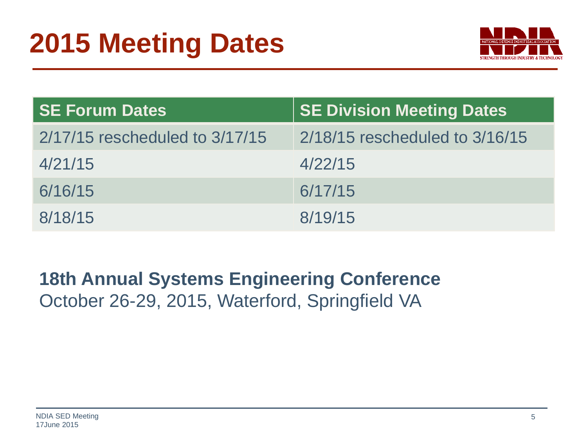

| <b>SE Forum Dates</b>          | <b>SE Division Meeting Dates</b>   |
|--------------------------------|------------------------------------|
| 2/17/15 rescheduled to 3/17/15 | $2/18/15$ rescheduled to $3/16/15$ |
| 4/21/15                        | 4/22/15                            |
| 6/16/15                        | 6/17/15                            |
| 8/18/15                        | 8/19/15                            |

#### **18th Annual Systems Engineering Conference**  October 26-29, 2015, Waterford, Springfield VA